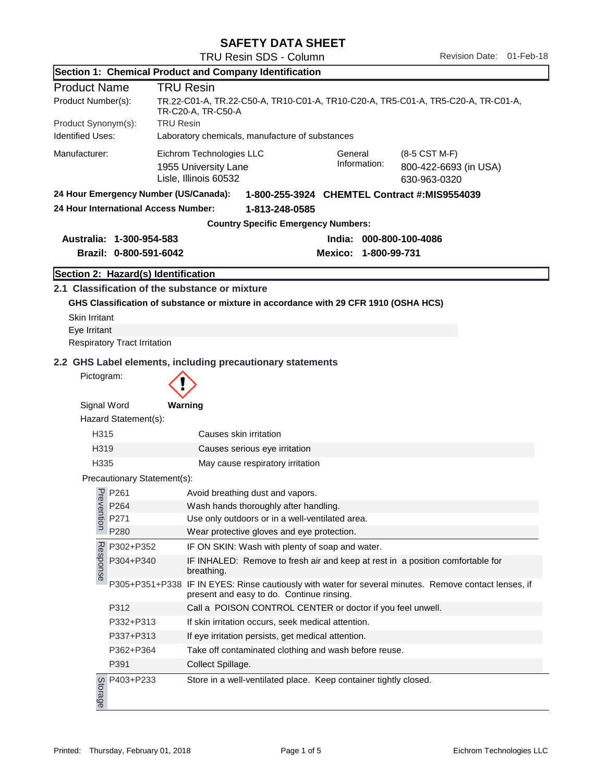|  | <b>SAFETY DATA SHEET</b> |
|--|--------------------------|
|--|--------------------------|

| Section 1: Chemical Product and Company Identification |                                       |                                                                                                                                                                |  |  |
|--------------------------------------------------------|---------------------------------------|----------------------------------------------------------------------------------------------------------------------------------------------------------------|--|--|
| <b>Product Name</b>                                    |                                       | <b>TRU Resin</b>                                                                                                                                               |  |  |
| Product Number(s):                                     |                                       | TR.22-C01-A, TR.22-C50-A, TR10-C01-A, TR10-C20-A, TR5-C01-A, TR5-C20-A, TR-C01-A,<br>TR-C20-A, TR-C50-A                                                        |  |  |
| Product Synonym(s):                                    | <b>TRU Resin</b>                      |                                                                                                                                                                |  |  |
| <b>Identified Uses:</b>                                |                                       | Laboratory chemicals, manufacture of substances                                                                                                                |  |  |
| Manufacturer:                                          |                                       | Eichrom Technologies LLC<br>General<br>(8-5 CST M-F)<br>Information:<br>800-422-6693 (in USA)<br>1955 University Lane<br>Lisle, Illinois 60532<br>630-963-0320 |  |  |
|                                                        | 24 Hour Emergency Number (US/Canada): | 1-800-255-3924 CHEMTEL Contract #:MIS9554039                                                                                                                   |  |  |
|                                                        | 24 Hour International Access Number:  | 1-813-248-0585                                                                                                                                                 |  |  |
|                                                        |                                       | <b>Country Specific Emergency Numbers:</b>                                                                                                                     |  |  |
|                                                        | Australia: 1-300-954-583              | India: 000-800-100-4086                                                                                                                                        |  |  |
|                                                        | Brazil: 0-800-591-6042                | Mexico: 1-800-99-731                                                                                                                                           |  |  |
|                                                        | Section 2: Hazard(s) Identification   |                                                                                                                                                                |  |  |
|                                                        |                                       | 2.1 Classification of the substance or mixture                                                                                                                 |  |  |
|                                                        |                                       | GHS Classification of substance or mixture in accordance with 29 CFR 1910 (OSHA HCS)                                                                           |  |  |
| <b>Skin Irritant</b>                                   |                                       |                                                                                                                                                                |  |  |
| Eye Irritant                                           |                                       |                                                                                                                                                                |  |  |
|                                                        | Respiratory Tract Irritation          |                                                                                                                                                                |  |  |
|                                                        |                                       | 2.2 GHS Label elements, including precautionary statements                                                                                                     |  |  |
| Pictogram:                                             |                                       |                                                                                                                                                                |  |  |
|                                                        |                                       |                                                                                                                                                                |  |  |
| Signal Word                                            |                                       | Warning                                                                                                                                                        |  |  |
|                                                        | Hazard Statement(s):                  |                                                                                                                                                                |  |  |
| H315                                                   |                                       | Causes skin irritation                                                                                                                                         |  |  |
| H319                                                   |                                       | Causes serious eye irritation                                                                                                                                  |  |  |
| H <sub>335</sub>                                       |                                       | May cause respiratory irritation                                                                                                                               |  |  |
|                                                        | Precautionary Statement(s):           |                                                                                                                                                                |  |  |
|                                                        | P261                                  | Avoid breathing dust and vapors.                                                                                                                               |  |  |
| Preve                                                  | P264                                  | Wash hands thoroughly after handling.                                                                                                                          |  |  |
| ntion                                                  | P271                                  | Use only outdoors or in a well-ventilated area.                                                                                                                |  |  |
|                                                        | P280                                  | Wear protective gloves and eye protection.                                                                                                                     |  |  |
|                                                        | P302+P352                             | IF ON SKIN: Wash with plenty of soap and water.                                                                                                                |  |  |
| Response                                               | P304+P340                             | IF INHALED: Remove to fresh air and keep at rest in a position comfortable for<br>breathing.                                                                   |  |  |
|                                                        |                                       | P305+P351+P338 IF IN EYES: Rinse cautiously with water for several minutes. Remove contact lenses, if<br>present and easy to do. Continue rinsing.             |  |  |
|                                                        | P312                                  | Call a POISON CONTROL CENTER or doctor if you feel unwell.                                                                                                     |  |  |
|                                                        | P332+P313                             | If skin irritation occurs, seek medical attention.                                                                                                             |  |  |
|                                                        | P337+P313                             | If eye irritation persists, get medical attention.                                                                                                             |  |  |
|                                                        | P362+P364                             | Take off contaminated clothing and wash before reuse.                                                                                                          |  |  |
|                                                        | P391                                  | Collect Spillage.                                                                                                                                              |  |  |
| Storage                                                | P403+P233                             | Store in a well-ventilated place. Keep container tightly closed.                                                                                               |  |  |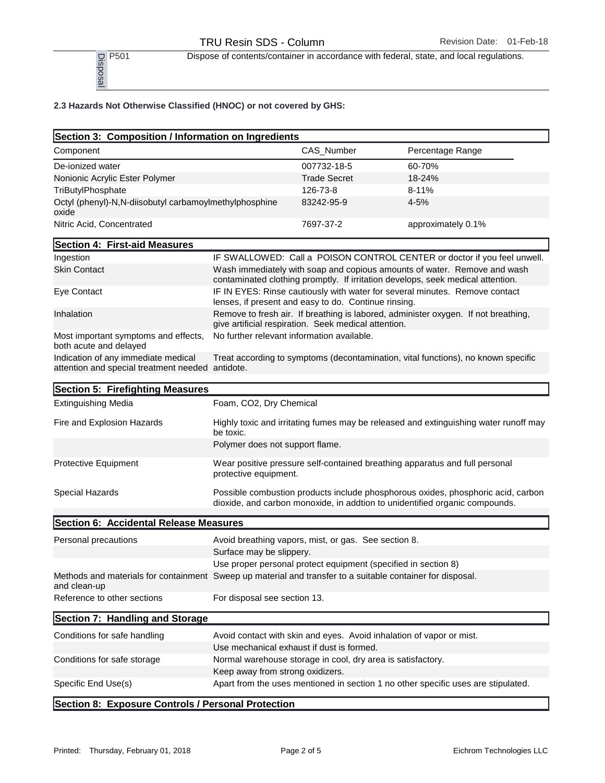Dispose of contents/container in accordance with federal, state, and local regulations.<br>
PSO1<br>
<u>B</u><br>
<u>B</u><br>
<u>B</u>

## 2.3 Hazards Not Otherwise Classified (HNOC) or not covered by GHS:

| P501<br>Disposa                                                    |                     | Dispose of contents/container in accordance with federal, state, and local regulations. |
|--------------------------------------------------------------------|---------------------|-----------------------------------------------------------------------------------------|
| 2.3 Hazards Not Otherwise Classified (HNOC) or not covered by GHS: |                     |                                                                                         |
| Section 3: Composition / Information on Ingredients                |                     |                                                                                         |
| Component                                                          | CAS Number          | Percentage Range                                                                        |
| De-ionized water                                                   | 007732-18-5         | 60-70%                                                                                  |
| Nonionic Acrylic Ester Polymer                                     | <b>Trade Secret</b> | $18 - 24%$                                                                              |
| TriButylPhosphate                                                  | 126-73-8            | $8 - 11%$                                                                               |
| Octyl (phenyl)-N.N-diisobutyl carbamoylmethylphosphine<br>oxide    | 83242-95-9          | $4 - 5%$                                                                                |
| Nitric Acid, Concentrated                                          | 7697-37-2           | approximately 0.1%                                                                      |
| Section 4: First-aid Measures                                      |                     |                                                                                         |

| pootion n. mot ald modouroo                                                             |                                                                                                                                                             |
|-----------------------------------------------------------------------------------------|-------------------------------------------------------------------------------------------------------------------------------------------------------------|
| Ingestion                                                                               | IF SWALLOWED: Call a POISON CONTROL CENTER or doctor if you feel unwell.                                                                                    |
| <b>Skin Contact</b>                                                                     | Wash immediately with soap and copious amounts of water. Remove and wash<br>contaminated clothing promptly. If irritation develops, seek medical attention. |
| Eye Contact                                                                             | IF IN EYES: Rinse cautiously with water for several minutes. Remove contact<br>lenses, if present and easy to do. Continue rinsing.                         |
| Inhalation                                                                              | Remove to fresh air. If breathing is labored, administer oxygen. If not breathing,<br>give artificial respiration. Seek medical attention.                  |
| Most important symptoms and effects,<br>both acute and delayed                          | No further relevant information available.                                                                                                                  |
| Indication of any immediate medical<br>attention and special treatment needed antidote. | Treat according to symptoms (decontamination, vital functions), no known specific                                                                           |

| Section 5: Firefighting Measures                   |                                                                                                                                                                 |
|----------------------------------------------------|-----------------------------------------------------------------------------------------------------------------------------------------------------------------|
| <b>Extinguishing Media</b>                         | Foam, CO2, Dry Chemical                                                                                                                                         |
| Fire and Explosion Hazards                         | Highly toxic and irritating fumes may be released and extinguishing water runoff may<br>be toxic.                                                               |
|                                                    | Polymer does not support flame.                                                                                                                                 |
| <b>Protective Equipment</b>                        | Wear positive pressure self-contained breathing apparatus and full personal<br>protective equipment.                                                            |
| Special Hazards                                    | Possible combustion products include phosphorous oxides, phosphoric acid, carbon<br>dioxide, and carbon monoxide, in addtion to unidentified organic compounds. |
| Section 6: Accidental Release Measures             |                                                                                                                                                                 |
| Personal precautions                               | Avoid breathing vapors, mist, or gas. See section 8.                                                                                                            |
|                                                    | Surface may be slippery.                                                                                                                                        |
|                                                    | Use proper personal protect equipment (specified in section 8)                                                                                                  |
| and clean-up                                       | Methods and materials for containment Sweep up material and transfer to a suitable container for disposal.                                                      |
| Reference to other sections                        | For disposal see section 13.                                                                                                                                    |
| Section 7: Handling and Storage                    |                                                                                                                                                                 |
| Conditions for safe handling                       | Avoid contact with skin and eyes. Avoid inhalation of vapor or mist.                                                                                            |
|                                                    | Use mechanical exhaust if dust is formed.                                                                                                                       |
| Conditions for safe storage                        | Normal warehouse storage in cool, dry area is satisfactory.                                                                                                     |
|                                                    | Keep away from strong oxidizers.                                                                                                                                |
| Specific End Use(s)                                | Apart from the uses mentioned in section 1 no other specific uses are stipulated.                                                                               |
| Section 8: Exposure Controls / Personal Protection |                                                                                                                                                                 |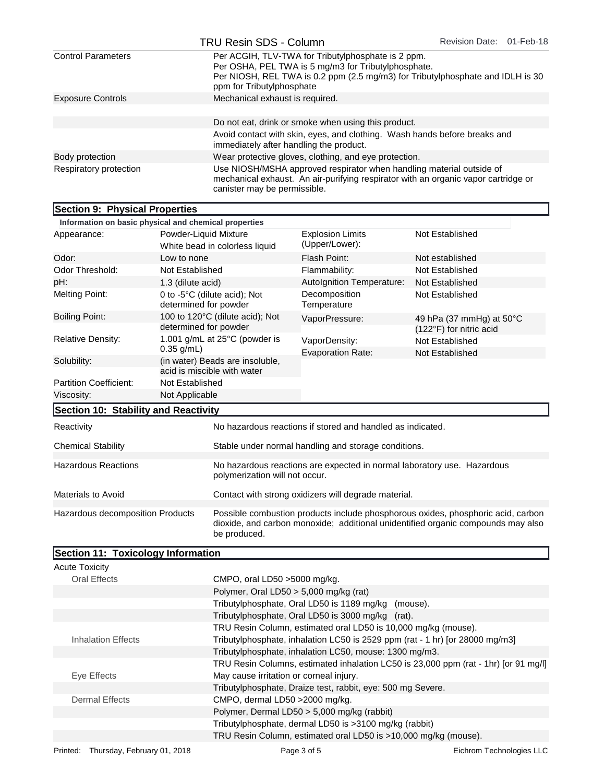|                                | TRU Resin SDS - Column                                  |                                                                                                           | Revision Date: 01-Feb-18                                                           |
|--------------------------------|---------------------------------------------------------|-----------------------------------------------------------------------------------------------------------|------------------------------------------------------------------------------------|
| <b>Control Parameters</b>      | ppm for Tributylphosphate                               | Per ACGIH, TLV-TWA for Tributylphosphate is 2 ppm.<br>Per OSHA, PEL TWA is 5 mg/m3 for Tributylphosphate. | Per NIOSH, REL TWA is 0.2 ppm (2.5 mg/m3) for Tributylphosphate and IDLH is 30     |
| <b>Exposure Controls</b>       | Mechanical exhaust is required.                         |                                                                                                           |                                                                                    |
|                                |                                                         | Do not eat, drink or smoke when using this product.                                                       |                                                                                    |
|                                | immediately after handling the product.                 | Avoid contact with skin, eyes, and clothing. Wash hands before breaks and                                 |                                                                                    |
| Body protection                |                                                         | Wear protective gloves, clothing, and eye protection.                                                     |                                                                                    |
| Respiratory protection         | canister may be permissible.                            | Use NIOSH/MSHA approved respirator when handling material outside of                                      | mechanical exhaust. An air-purifying respirator with an organic vapor cartridge or |
| Section 9: Physical Properties |                                                         |                                                                                                           |                                                                                    |
|                                | Information on basic physical and chemical properties   |                                                                                                           |                                                                                    |
| Appearance:                    | Powder-Liquid Mixture<br>White bead in colorless liquid | <b>Explosion Limits</b><br>(Upper/Lower):                                                                 | Not Established                                                                    |
| Odor:                          | Low to none                                             | Flash Point:                                                                                              | Not established                                                                    |
| Odor Threshold:                | Not Established                                         | Flammability:                                                                                             | Not Established                                                                    |
| pH:                            | 1.3 (dilute acid)                                       | Autolgnition Temperature:                                                                                 | Not Established                                                                    |
| <b>Melting Point:</b>          | 0 to -5°C (dilute acid); Not<br>determined for powder   | Decomposition<br>Temperature                                                                              | Not Established                                                                    |
| <b>Boiling Point:</b>          | 100 to 120°C (dilute acid); Not                         | VaporPressure:                                                                                            | 49 hPa (37 mmHg) at 50°C                                                           |

| <u>INTOI Mation on basic privilegi and chemical properties</u>                                                                                                                                                           |                                                          |                                                                |                                                            |                                                     |
|--------------------------------------------------------------------------------------------------------------------------------------------------------------------------------------------------------------------------|----------------------------------------------------------|----------------------------------------------------------------|------------------------------------------------------------|-----------------------------------------------------|
| Appearance:                                                                                                                                                                                                              | Powder-Liquid Mixture<br>White bead in colorless liquid  |                                                                | <b>Explosion Limits</b><br>(Upper/Lower):                  | Not Established                                     |
| Odor:                                                                                                                                                                                                                    | Low to none                                              |                                                                | Flash Point:                                               | Not established                                     |
| Odor Threshold:                                                                                                                                                                                                          | Not Established                                          |                                                                | Flammability:                                              | Not Established                                     |
| pH:                                                                                                                                                                                                                      | 1.3 (dilute acid)                                        |                                                                | Autolgnition Temperature:                                  | Not Established                                     |
| <b>Melting Point:</b>                                                                                                                                                                                                    | determined for powder                                    | 0 to -5°C (dilute acid); Not                                   | Decomposition<br>Temperature                               | Not Established                                     |
| <b>Boiling Point:</b>                                                                                                                                                                                                    | 100 to 120°C (dilute acid); Not<br>determined for powder |                                                                | VaporPressure:                                             | 49 hPa (37 mmHg) at 50°C<br>(122°F) for nitric acid |
| <b>Relative Density:</b>                                                                                                                                                                                                 |                                                          | 1.001 g/mL at 25°C (powder is                                  | VaporDensity:                                              | Not Established                                     |
|                                                                                                                                                                                                                          | $0.35$ g/mL)                                             |                                                                | <b>Evaporation Rate:</b>                                   | Not Established                                     |
| Solubility:                                                                                                                                                                                                              |                                                          | (in water) Beads are insoluble,<br>acid is miscible with water |                                                            |                                                     |
| <b>Partition Coefficient:</b>                                                                                                                                                                                            | Not Established                                          |                                                                |                                                            |                                                     |
| Viscosity:                                                                                                                                                                                                               | Not Applicable                                           |                                                                |                                                            |                                                     |
| Section 10: Stability and Reactivity                                                                                                                                                                                     |                                                          |                                                                |                                                            |                                                     |
| Reactivity                                                                                                                                                                                                               |                                                          |                                                                | No hazardous reactions if stored and handled as indicated. |                                                     |
| <b>Chemical Stability</b>                                                                                                                                                                                                |                                                          |                                                                | Stable under normal handling and storage conditions.       |                                                     |
| <b>Hazardous Reactions</b><br>No hazardous reactions are expected in normal laboratory use. Hazardous<br>polymerization will not occur.                                                                                  |                                                          |                                                                |                                                            |                                                     |
| <b>Materials to Avoid</b>                                                                                                                                                                                                |                                                          | Contact with strong oxidizers will degrade material.           |                                                            |                                                     |
| Possible combustion products include phosphorous oxides, phosphoric acid, carbon<br>Hazardous decomposition Products<br>dioxide, and carbon monoxide; additional unidentified organic compounds may also<br>be produced. |                                                          |                                                                |                                                            |                                                     |
| Section 11: Toxicology Information                                                                                                                                                                                       |                                                          |                                                                |                                                            |                                                     |

| <b>Acute Toxicity</b>     |                                                                                     |
|---------------------------|-------------------------------------------------------------------------------------|
| <b>Oral Effects</b>       | CMPO, oral LD50 >5000 mg/kg.                                                        |
|                           | Polymer, Oral LD50 $> 5,000$ mg/kg (rat)                                            |
|                           | Tributylphosphate, Oral LD50 is 1189 mg/kg (mouse).                                 |
|                           | Tributylphosphate, Oral LD50 is 3000 mg/kg (rat).                                   |
|                           | TRU Resin Column, estimated oral LD50 is 10,000 mg/kg (mouse).                      |
| <b>Inhalation Effects</b> | Tributylphosphate, inhalation LC50 is 2529 ppm (rat - 1 hr) [or 28000 mg/m3]        |
|                           | Tributylphosphate, inhalation LC50, mouse: 1300 mg/m3.                              |
|                           | TRU Resin Columns, estimated inhalation LC50 is 23,000 ppm (rat - 1hr) [or 91 mg/l] |
| Eye Effects               | May cause irritation or corneal injury.                                             |
|                           | Tributylphosphate, Draize test, rabbit, eye: 500 mg Severe.                         |
| <b>Dermal Effects</b>     | CMPO, dermal LD50 > 2000 mg/kg.                                                     |
|                           | Polymer, Dermal LD50 > 5,000 mg/kg (rabbit)                                         |
|                           | Tributylphosphate, dermal LD50 is >3100 mg/kg (rabbit)                              |
|                           | TRU Resin Column, estimated oral LD50 is >10,000 mg/kg (mouse).                     |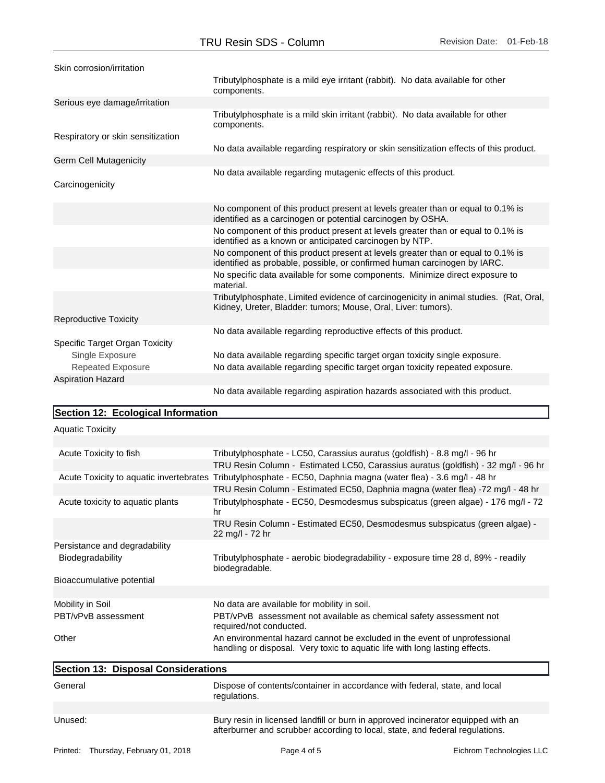| Skin corrosion/irritation         |                                                                                                                                                             |
|-----------------------------------|-------------------------------------------------------------------------------------------------------------------------------------------------------------|
|                                   | Tributylphosphate is a mild eye irritant (rabbit). No data available for other<br>components.                                                               |
| Serious eye damage/irritation     |                                                                                                                                                             |
|                                   | Tributylphosphate is a mild skin irritant (rabbit). No data available for other<br>components.                                                              |
| Respiratory or skin sensitization |                                                                                                                                                             |
|                                   | No data available regarding respiratory or skin sensitization effects of this product.                                                                      |
| Germ Cell Mutagenicity            |                                                                                                                                                             |
|                                   | No data available regarding mutagenic effects of this product.                                                                                              |
| Carcinogenicity                   |                                                                                                                                                             |
|                                   | No component of this product present at levels greater than or equal to 0.1% is<br>identified as a carcinogen or potential carcinogen by OSHA.              |
|                                   | No component of this product present at levels greater than or equal to 0.1% is<br>identified as a known or anticipated carcinogen by NTP.                  |
|                                   | No component of this product present at levels greater than or equal to 0.1% is<br>identified as probable, possible, or confirmed human carcinogen by IARC. |
|                                   | No specific data available for some components. Minimize direct exposure to<br>material.                                                                    |
|                                   | Tributylphosphate, Limited evidence of carcinogenicity in animal studies. (Rat, Oral,<br>Kidney, Ureter, Bladder: tumors; Mouse, Oral, Liver: tumors).      |
| <b>Reproductive Toxicity</b>      |                                                                                                                                                             |
|                                   | No data available regarding reproductive effects of this product.                                                                                           |
| Specific Target Organ Toxicity    |                                                                                                                                                             |
| Single Exposure                   | No data available regarding specific target organ toxicity single exposure.                                                                                 |
| <b>Repeated Exposure</b>          | No data available regarding specific target organ toxicity repeated exposure.                                                                               |
| <b>Aspiration Hazard</b>          |                                                                                                                                                             |
|                                   | No data available regarding aspiration hazards associated with this product.                                                                                |

## Section 12: Ecological Information

Aquatic Toxicity

| Acute Toxicity to fish              | Tributylphosphate - LC50, Carassius auratus (goldfish) - 8.8 mg/l - 96 hr                                                                                        |
|-------------------------------------|------------------------------------------------------------------------------------------------------------------------------------------------------------------|
|                                     | TRU Resin Column - Estimated LC50, Carassius auratus (goldfish) - 32 mg/l - 96 hr                                                                                |
|                                     | Acute Toxicity to aquatic invertebrates Tributylphosphate - EC50, Daphnia magna (water flea) - 3.6 mg/l - 48 hr                                                  |
|                                     | TRU Resin Column - Estimated EC50, Daphnia magna (water flea) -72 mg/l - 48 hr                                                                                   |
| Acute toxicity to aquatic plants    | Tributylphosphate - EC50, Desmodesmus subspicatus (green algae) - 176 mg/l - 72<br>hr                                                                            |
|                                     | TRU Resin Column - Estimated EC50, Desmodesmus subspicatus (green algae) -<br>22 mg/l - 72 hr                                                                    |
| Persistance and degradability       |                                                                                                                                                                  |
| Biodegradability                    | Tributylphosphate - aerobic biodegradability - exposure time 28 d, 89% - readily<br>biodegradable.                                                               |
| Bioaccumulative potential           |                                                                                                                                                                  |
|                                     |                                                                                                                                                                  |
| Mobility in Soil                    | No data are available for mobility in soil.                                                                                                                      |
| PBT/vPvB assessment                 | PBT/vPvB assessment not available as chemical safety assessment not<br>required/not conducted.                                                                   |
| Other                               | An environmental hazard cannot be excluded in the event of unprofessional<br>handling or disposal. Very toxic to aquatic life with long lasting effects.         |
| Section 13: Disposal Considerations |                                                                                                                                                                  |
| General                             | Dispose of contents/container in accordance with federal, state, and local<br>regulations.                                                                       |
|                                     |                                                                                                                                                                  |
| Unused:                             | Bury resin in licensed landfill or burn in approved incinerator equipped with an<br>afterburner and scrubber according to local, state, and federal regulations. |